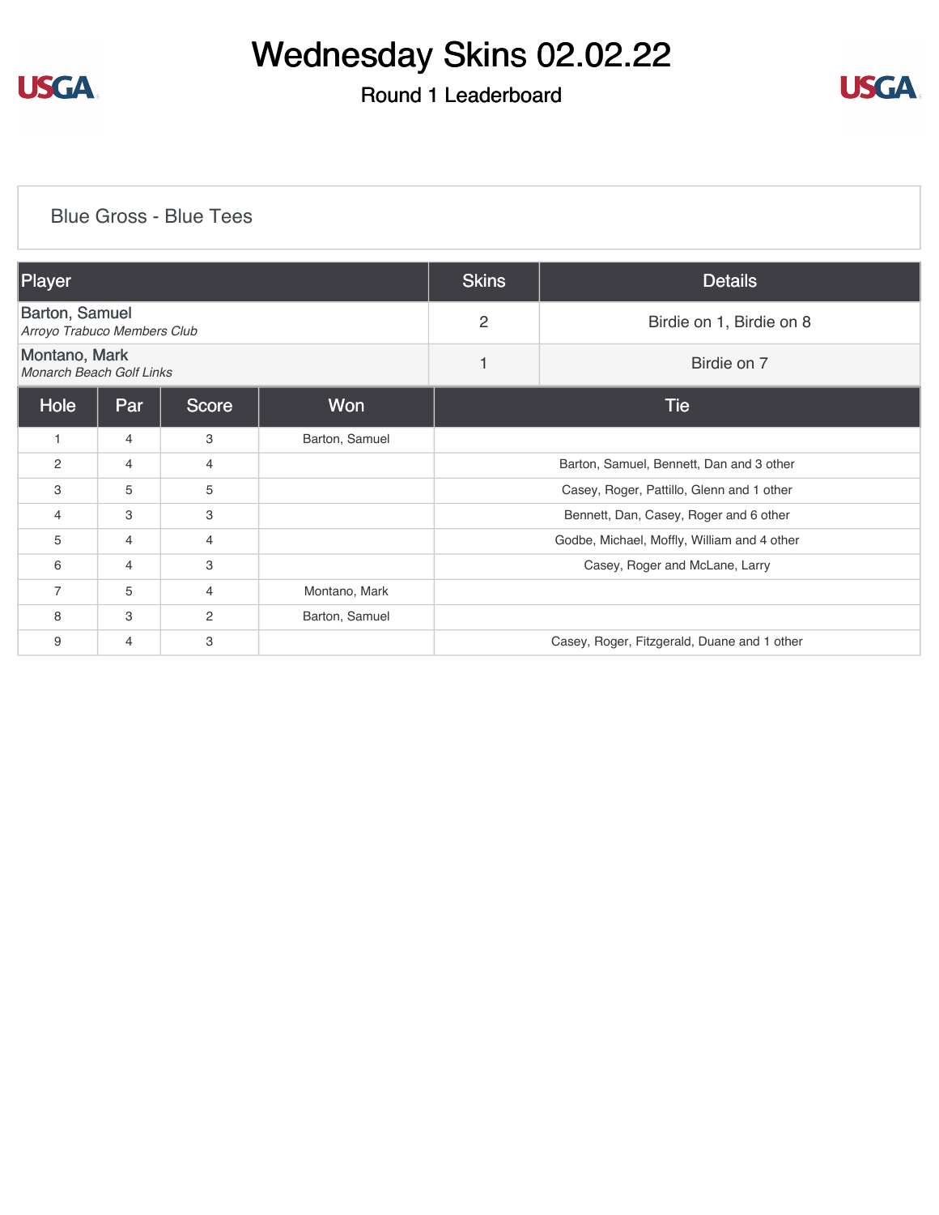

### Round 1 Leaderboard



#### [Blue Gross - Blue Tees](https://cdn2.golfgenius.com/v2tournaments/8181647183867568414?called_from=&round_index=1)

| Player                                               |                                   |   |                | <b>Skins</b>                                | <b>Details</b>                              |  |  |
|------------------------------------------------------|-----------------------------------|---|----------------|---------------------------------------------|---------------------------------------------|--|--|
| <b>Barton, Samuel</b><br>Arroyo Trabuco Members Club |                                   |   |                | $\overline{2}$                              | Birdie on 1, Birdie on 8                    |  |  |
| Montano, Mark<br><b>Monarch Beach Golf Links</b>     |                                   |   |                | 1                                           | Birdie on 7                                 |  |  |
| Hole                                                 | <b>Won</b><br>Par<br><b>Score</b> |   |                | <b>Tie</b>                                  |                                             |  |  |
| $\overline{1}$                                       | 4                                 | 3 | Barton, Samuel |                                             |                                             |  |  |
| 2                                                    | 4                                 | 4 |                | Barton, Samuel, Bennett, Dan and 3 other    |                                             |  |  |
| 3                                                    | 5                                 | 5 |                | Casey, Roger, Pattillo, Glenn and 1 other   |                                             |  |  |
| $\overline{4}$                                       | 3                                 | 3 |                | Bennett, Dan, Casey, Roger and 6 other      |                                             |  |  |
| 5                                                    | 4                                 | 4 |                | Godbe, Michael, Moffly, William and 4 other |                                             |  |  |
| 6                                                    | $\overline{4}$                    | 3 |                | Casey, Roger and McLane, Larry              |                                             |  |  |
| $\overline{7}$                                       | 5                                 | 4 | Montano, Mark  |                                             |                                             |  |  |
| 8                                                    | 3                                 | 2 | Barton, Samuel |                                             |                                             |  |  |
| 9                                                    | 4                                 | 3 |                |                                             | Casey, Roger, Fitzgerald, Duane and 1 other |  |  |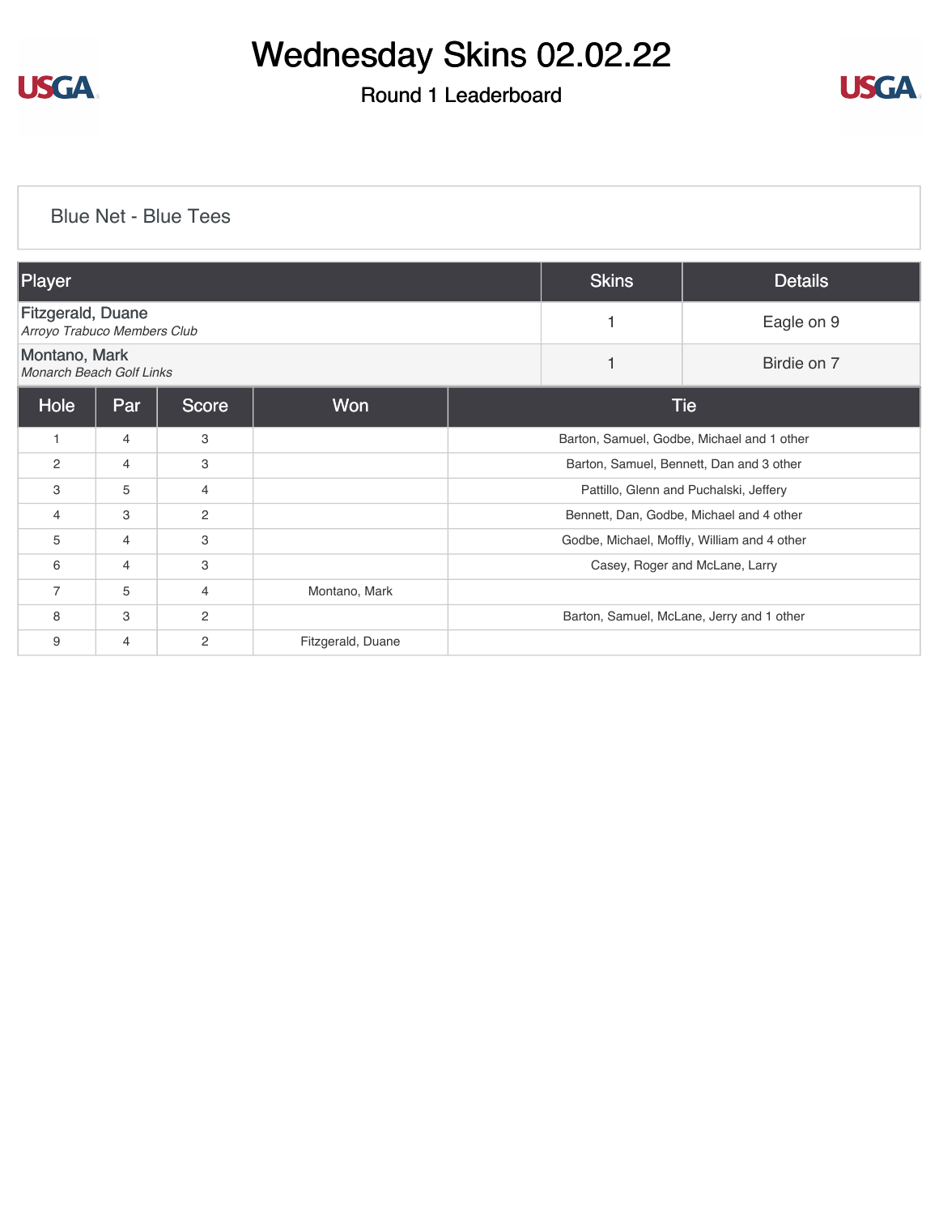

### Round 1 Leaderboard



#### [Blue Net - Blue Tees](https://cdn2.golfgenius.com/v2tournaments/8181645985135485213?called_from=&round_index=1)

| Player                                                  |                |                |                   | <b>Skins</b>                                | <b>Details</b> |                                           |  |
|---------------------------------------------------------|----------------|----------------|-------------------|---------------------------------------------|----------------|-------------------------------------------|--|
| <b>Fitzgerald, Duane</b><br>Arroyo Trabuco Members Club |                |                |                   |                                             | Eagle on 9     |                                           |  |
| Montano, Mark<br>Monarch Beach Golf Links               |                |                |                   |                                             |                | Birdie on 7                               |  |
| Hole                                                    | Par            | <b>Score</b>   | <b>Won</b>        |                                             | <b>Tie</b>     |                                           |  |
| $\mathbf{1}$                                            | $\overline{4}$ | 3              |                   | Barton, Samuel, Godbe, Michael and 1 other  |                |                                           |  |
| $\overline{2}$                                          | $\overline{4}$ | 3              |                   | Barton, Samuel, Bennett, Dan and 3 other    |                |                                           |  |
| 3                                                       | 5              | 4              |                   | Pattillo, Glenn and Puchalski, Jeffery      |                |                                           |  |
| $\overline{4}$                                          | 3              | 2              |                   | Bennett, Dan, Godbe, Michael and 4 other    |                |                                           |  |
| 5                                                       | $\overline{4}$ | 3              |                   | Godbe, Michael, Moffly, William and 4 other |                |                                           |  |
| 6                                                       | $\overline{4}$ | 3              |                   | Casey, Roger and McLane, Larry              |                |                                           |  |
| $\overline{7}$                                          | 5              | 4              | Montano, Mark     |                                             |                |                                           |  |
| 8                                                       | 3              | 2              |                   |                                             |                | Barton, Samuel, McLane, Jerry and 1 other |  |
| 9                                                       | $\overline{4}$ | $\overline{2}$ | Fitzgerald, Duane |                                             |                |                                           |  |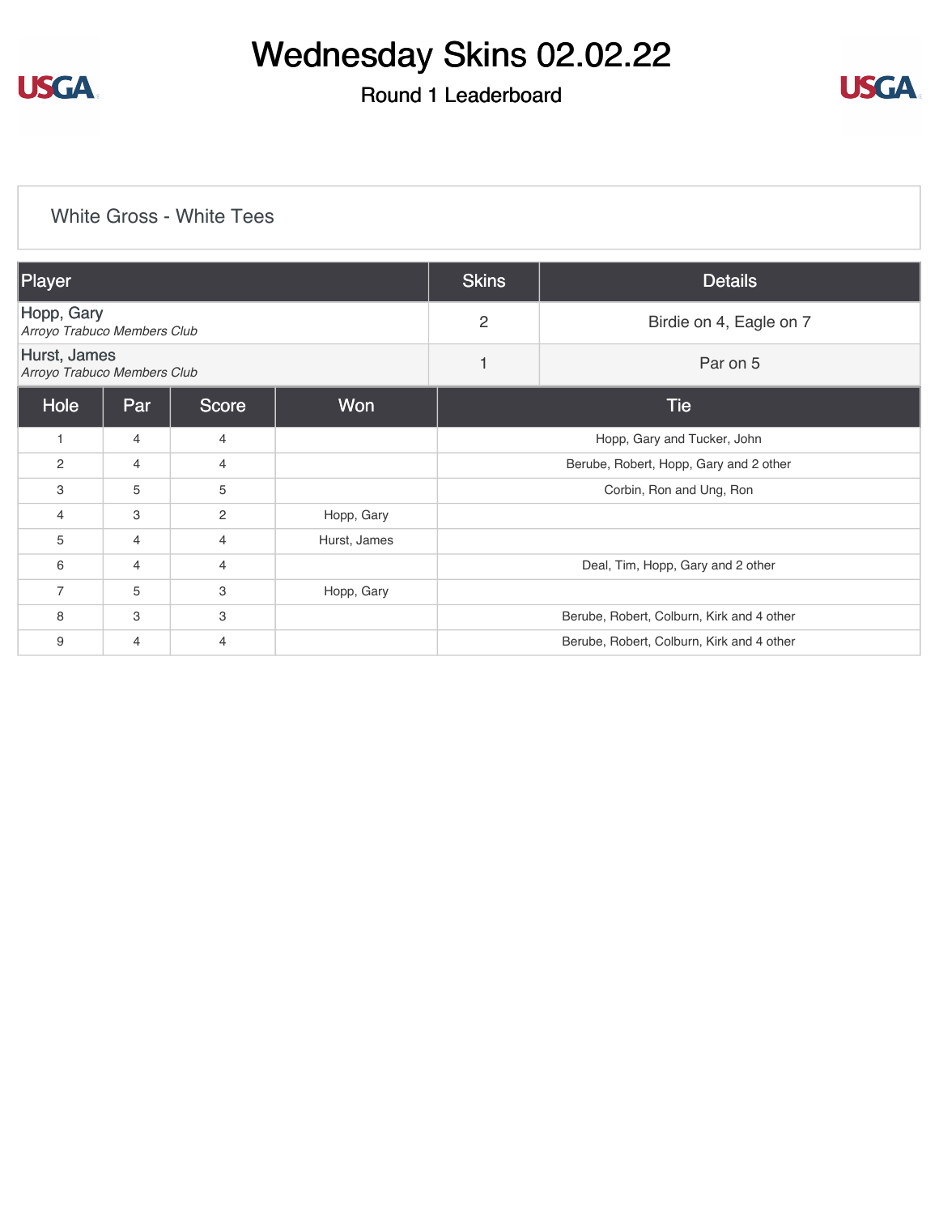

### Round 1 Leaderboard



#### [White Gross - White Tees](https://cdn2.golfgenius.com/v2tournaments/8181648152449802527?called_from=&round_index=1)

| Player                                      |                |                |              | <b>Skins</b>   | <b>Details</b>                            |  |  |
|---------------------------------------------|----------------|----------------|--------------|----------------|-------------------------------------------|--|--|
| Hopp, Gary<br>Arroyo Trabuco Members Club   |                |                |              | $\overline{2}$ | Birdie on 4, Eagle on 7                   |  |  |
| Hurst, James<br>Arroyo Trabuco Members Club |                |                |              | 1              | Par on 5                                  |  |  |
| Hole                                        | Par            | Score          | Won          |                | <b>Tie</b>                                |  |  |
|                                             | $\overline{4}$ | 4              |              |                | Hopp, Gary and Tucker, John               |  |  |
| 2                                           | 4              | 4              |              |                | Berube, Robert, Hopp, Gary and 2 other    |  |  |
| 3                                           | 5              | 5              |              |                | Corbin, Ron and Ung, Ron                  |  |  |
| 4                                           | 3              | $\overline{2}$ | Hopp, Gary   |                |                                           |  |  |
| 5                                           | 4              | 4              | Hurst, James |                |                                           |  |  |
| 6                                           | 4              | 4              |              |                | Deal, Tim, Hopp, Gary and 2 other         |  |  |
| $\overline{7}$                              | 5              | 3              | Hopp, Gary   |                |                                           |  |  |
| 8                                           | 3              | 3              |              |                | Berube, Robert, Colburn, Kirk and 4 other |  |  |
| 9                                           | 4              | 4              |              |                | Berube, Robert, Colburn, Kirk and 4 other |  |  |